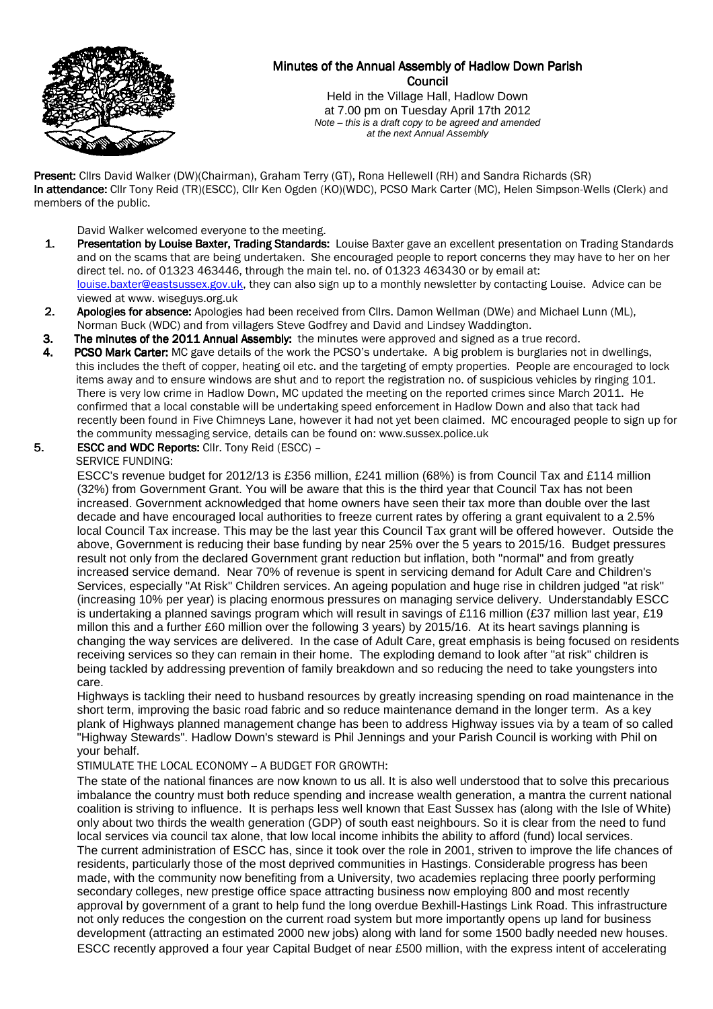

# Minutes of the Annual Assembly of Hadlow Down Parish Council

Held in the Village Hall, Hadlow Down at 7.00 pm on Tuesday April 17th 2012 Note – this is a draft copy to be agreed and amended at the next Annual Assembly

Present: Clirs David Walker (DW)(Chairman), Graham Terry (GT), Rona Hellewell (RH) and Sandra Richards (SR) In attendance: Cllr Tony Reid (TR)(ESCC), Cllr Ken Ogden (KO)(WDC), PCSO Mark Carter (MC), Helen Simpson-Wells (Clerk) and members of the public.

David Walker welcomed everyone to the meeting.

- 1. Presentation by Louise Baxter, Trading Standards: Louise Baxter gave an excellent presentation on Trading Standards and on the scams that are being undertaken. She encouraged people to report concerns they may have to her on her direct tel. no. of 01323 463446, through the main tel. no. of 01323 463430 or by email at: louise.baxter@eastsussex.gov.uk, they can also sign up to a monthly newsletter by contacting Louise. Advice can be viewed at www. wiseguys.org.uk
- 2. Apologies for absence: Apologies had been received from Cllrs. Damon Wellman (DWe) and Michael Lunn (ML), Norman Buck (WDC) and from villagers Steve Godfrey and David and Lindsey Waddington.
- 3. The minutes of the 2011 Annual Assembly: the minutes were approved and signed as a true record.
- 4. PCSO Mark Carter: MC gave details of the work the PCSO's undertake. A big problem is burglaries not in dwellings, this includes the theft of copper, heating oil etc. and the targeting of empty properties. People are encouraged to lock items away and to ensure windows are shut and to report the registration no. of suspicious vehicles by ringing 101. There is very low crime in Hadlow Down, MC updated the meeting on the reported crimes since March 2011. He confirmed that a local constable will be undertaking speed enforcement in Hadlow Down and also that tack had recently been found in Five Chimneys Lane, however it had not yet been claimed. MC encouraged people to sign up for the community messaging service, details can be found on: www.sussex.police.uk
- 5. **ESCC and WDC Reports: CIIr. Tony Reid (ESCC) -**

### SERVICE FUNDING:

ESCC's revenue budget for 2012/13 is £356 million, £241 million (68%) is from Council Tax and £114 million (32%) from Government Grant. You will be aware that this is the third year that Council Tax has not been increased. Government acknowledged that home owners have seen their tax more than double over the last decade and have encouraged local authorities to freeze current rates by offering a grant equivalent to a 2.5% local Council Tax increase. This may be the last year this Council Tax grant will be offered however. Outside the above, Government is reducing their base funding by near 25% over the 5 years to 2015/16. Budget pressures result not only from the declared Government grant reduction but inflation, both "normal" and from greatly increased service demand. Near 70% of revenue is spent in servicing demand for Adult Care and Children's Services, especially "At Risk" Children services. An ageing population and huge rise in children judged "at risk" (increasing 10% per year) is placing enormous pressures on managing service delivery. Understandably ESCC is undertaking a planned savings program which will result in savings of £116 million (£37 million last year, £19 millon this and a further £60 million over the following 3 years) by 2015/16. At its heart savings planning is changing the way services are delivered. In the case of Adult Care, great emphasis is being focused on residents receiving services so they can remain in their home. The exploding demand to look after "at risk" children is being tackled by addressing prevention of family breakdown and so reducing the need to take youngsters into care.

Highways is tackling their need to husband resources by greatly increasing spending on road maintenance in the short term, improving the basic road fabric and so reduce maintenance demand in the longer term. As a key plank of Highways planned management change has been to address Highway issues via by a team of so called "Highway Stewards". Hadlow Down's steward is Phil Jennings and your Parish Council is working with Phil on your behalf.

## STIMULATE THE LOCAL ECONOMY -- A BUDGET FOR GROWTH:

The state of the national finances are now known to us all. It is also well understood that to solve this precarious imbalance the country must both reduce spending and increase wealth generation, a mantra the current national coalition is striving to influence. It is perhaps less well known that East Sussex has (along with the Isle of White) only about two thirds the wealth generation (GDP) of south east neighbours. So it is clear from the need to fund local services via council tax alone, that low local income inhibits the ability to afford (fund) local services. The current administration of ESCC has, since it took over the role in 2001, striven to improve the life chances of residents, particularly those of the most deprived communities in Hastings. Considerable progress has been made, with the community now benefiting from a University, two academies replacing three poorly performing secondary colleges, new prestige office space attracting business now employing 800 and most recently approval by government of a grant to help fund the long overdue Bexhill-Hastings Link Road. This infrastructure not only reduces the congestion on the current road system but more importantly opens up land for business development (attracting an estimated 2000 new jobs) along with land for some 1500 badly needed new houses. ESCC recently approved a four year Capital Budget of near £500 million, with the express intent of accelerating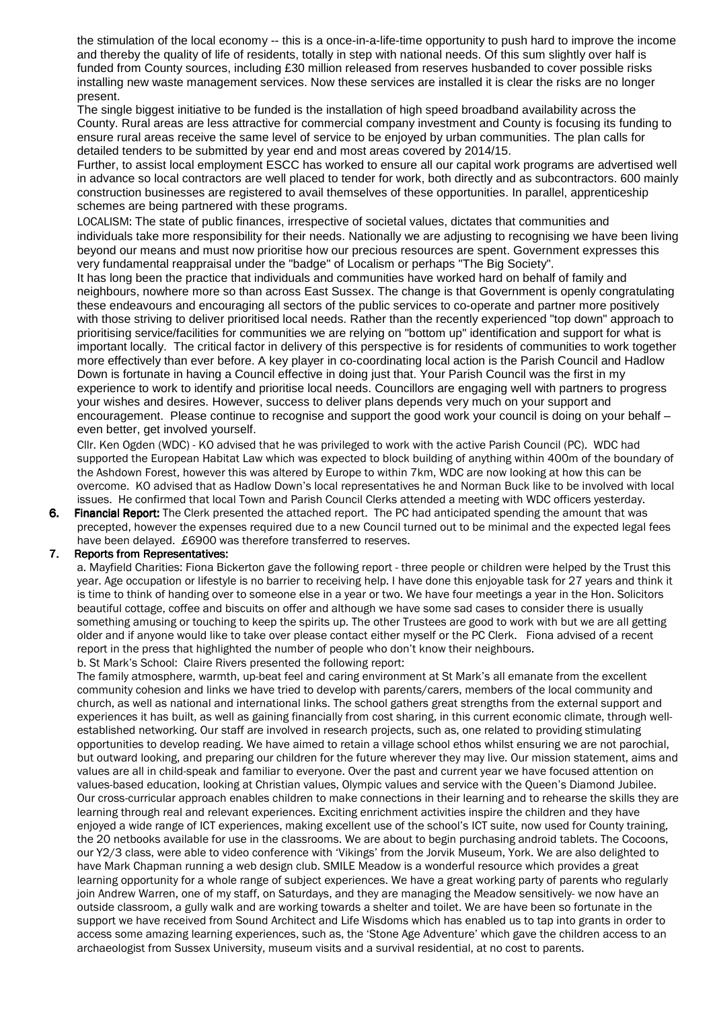the stimulation of the local economy -- this is a once-in-a-life-time opportunity to push hard to improve the income and thereby the quality of life of residents, totally in step with national needs. Of this sum slightly over half is funded from County sources, including £30 million released from reserves husbanded to cover possible risks installing new waste management services. Now these services are installed it is clear the risks are no longer present.

 The single biggest initiative to be funded is the installation of high speed broadband availability across the County. Rural areas are less attractive for commercial company investment and County is focusing its funding to ensure rural areas receive the same level of service to be enjoyed by urban communities. The plan calls for detailed tenders to be submitted by year end and most areas covered by 2014/15.

 Further, to assist local employment ESCC has worked to ensure all our capital work programs are advertised well in advance so local contractors are well placed to tender for work, both directly and as subcontractors. 600 mainly construction businesses are registered to avail themselves of these opportunities. In parallel, apprenticeship schemes are being partnered with these programs.

 LOCALISM: The state of public finances, irrespective of societal values, dictates that communities and individuals take more responsibility for their needs. Nationally we are adjusting to recognising we have been living beyond our means and must now prioritise how our precious resources are spent. Government expresses this very fundamental reappraisal under the "badge" of Localism or perhaps "The Big Society".

It has long been the practice that individuals and communities have worked hard on behalf of family and neighbours, nowhere more so than across East Sussex. The change is that Government is openly congratulating these endeavours and encouraging all sectors of the public services to co-operate and partner more positively with those striving to deliver prioritised local needs. Rather than the recently experienced "top down" approach to prioritising service/facilities for communities we are relying on "bottom up" identification and support for what is important locally. The critical factor in delivery of this perspective is for residents of communities to work together more effectively than ever before. A key player in co-coordinating local action is the Parish Council and Hadlow Down is fortunate in having a Council effective in doing just that. Your Parish Council was the first in my experience to work to identify and prioritise local needs. Councillors are engaging well with partners to progress your wishes and desires. However, success to deliver plans depends very much on your support and encouragement. Please continue to recognise and support the good work your council is doing on your behalf – even better, get involved yourself.

 Cllr. Ken Ogden (WDC) - KO advised that he was privileged to work with the active Parish Council (PC). WDC had supported the European Habitat Law which was expected to block building of anything within 400m of the boundary of the Ashdown Forest, however this was altered by Europe to within 7km, WDC are now looking at how this can be overcome. KO advised that as Hadlow Down's local representatives he and Norman Buck like to be involved with local issues. He confirmed that local Town and Parish Council Clerks attended a meeting with WDC officers yesterday.

6. Financial Report: The Clerk presented the attached report. The PC had anticipated spending the amount that was precepted, however the expenses required due to a new Council turned out to be minimal and the expected legal fees have been delayed. £6900 was therefore transferred to reserves.

## 7. Reports from Representatives:

a. Mayfield Charities: Fiona Bickerton gave the following report - three people or children were helped by the Trust this year. Age occupation or lifestyle is no barrier to receiving help. I have done this enjoyable task for 27 years and think it is time to think of handing over to someone else in a year or two. We have four meetings a year in the Hon. Solicitors beautiful cottage, coffee and biscuits on offer and although we have some sad cases to consider there is usually something amusing or touching to keep the spirits up. The other Trustees are good to work with but we are all getting older and if anyone would like to take over please contact either myself or the PC Clerk. Fiona advised of a recent report in the press that highlighted the number of people who don't know their neighbours. b. St Mark's School: Claire Rivers presented the following report:

The family atmosphere, warmth, up-beat feel and caring environment at St Mark's all emanate from the excellent community cohesion and links we have tried to develop with parents/carers, members of the local community and church, as well as national and international links. The school gathers great strengths from the external support and experiences it has built, as well as gaining financially from cost sharing, in this current economic climate, through wellestablished networking. Our staff are involved in research projects, such as, one related to providing stimulating opportunities to develop reading. We have aimed to retain a village school ethos whilst ensuring we are not parochial, but outward looking, and preparing our children for the future wherever they may live. Our mission statement, aims and values are all in child-speak and familiar to everyone. Over the past and current year we have focused attention on values-based education, looking at Christian values, Olympic values and service with the Queen's Diamond Jubilee. Our cross-curricular approach enables children to make connections in their learning and to rehearse the skills they are learning through real and relevant experiences. Exciting enrichment activities inspire the children and they have enjoyed a wide range of ICT experiences, making excellent use of the school's ICT suite, now used for County training, the 20 netbooks available for use in the classrooms. We are about to begin purchasing android tablets. The Cocoons, our Y2/3 class, were able to video conference with 'Vikings' from the Jorvik Museum, York. We are also delighted to have Mark Chapman running a web design club. SMILE Meadow is a wonderful resource which provides a great learning opportunity for a whole range of subject experiences. We have a great working party of parents who regularly join Andrew Warren, one of my staff, on Saturdays, and they are managing the Meadow sensitively- we now have an outside classroom, a gully walk and are working towards a shelter and toilet. We are have been so fortunate in the support we have received from Sound Architect and Life Wisdoms which has enabled us to tap into grants in order to access some amazing learning experiences, such as, the 'Stone Age Adventure' which gave the children access to an archaeologist from Sussex University, museum visits and a survival residential, at no cost to parents.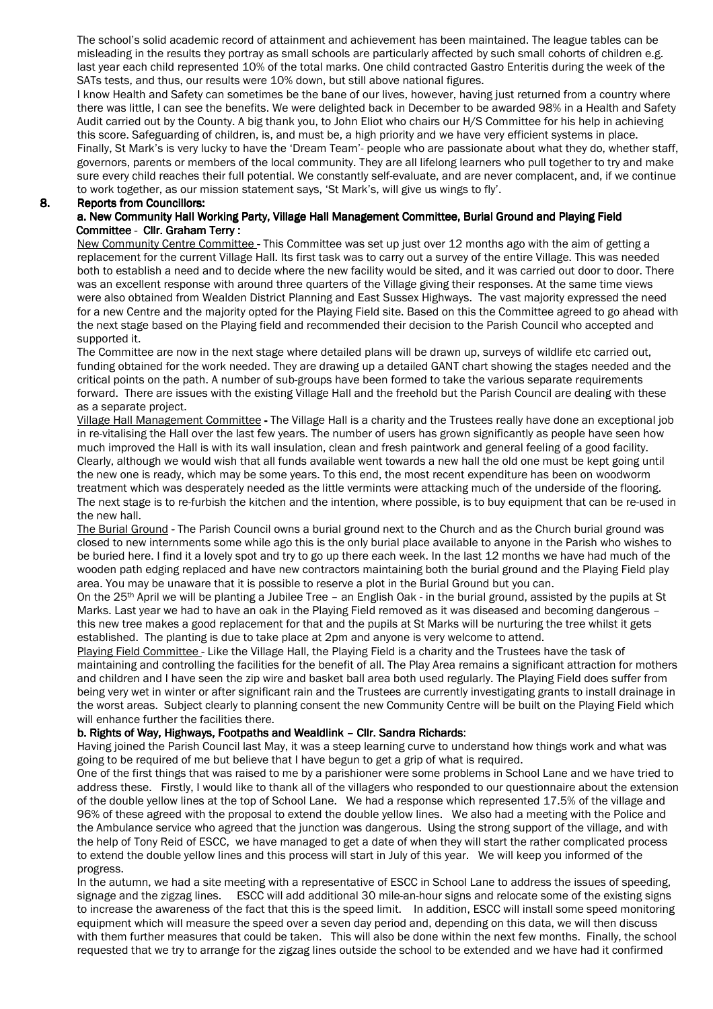The school's solid academic record of attainment and achievement has been maintained. The league tables can be misleading in the results they portray as small schools are particularly affected by such small cohorts of children e.g. last year each child represented 10% of the total marks. One child contracted Gastro Enteritis during the week of the SATs tests, and thus, our results were 10% down, but still above national figures.

I know Health and Safety can sometimes be the bane of our lives, however, having just returned from a country where there was little, I can see the benefits. We were delighted back in December to be awarded 98% in a Health and Safety Audit carried out by the County. A big thank you, to John Eliot who chairs our H/S Committee for his help in achieving this score. Safeguarding of children, is, and must be, a high priority and we have very efficient systems in place. Finally, St Mark's is very lucky to have the 'Dream Team'- people who are passionate about what they do, whether staff, governors, parents or members of the local community. They are all lifelong learners who pull together to try and make sure every child reaches their full potential. We constantly self-evaluate, and are never complacent, and, if we continue to work together, as our mission statement says, 'St Mark's, will give us wings to fly'.

#### 8. Reports from Councillors:

### a. New Community Hall Working Party, Village Hall Management Committee, Burial Ground and Playing Field Committee - Cllr. Graham Terry :

 New Community Centre Committee-This Committee was set up just over 12 months ago with the aim of getting a replacement for the current Village Hall. Its first task was to carry out a survey of the entire Village. This was needed both to establish a need and to decide where the new facility would be sited, and it was carried out door to door. There was an excellent response with around three quarters of the Village giving their responses. At the same time views were also obtained from Wealden District Planning and East Sussex Highways. The vast majority expressed the need for a new Centre and the majority opted for the Playing Field site. Based on this the Committee agreed to go ahead with the next stage based on the Playing field and recommended their decision to the Parish Council who accepted and supported it.

The Committee are now in the next stage where detailed plans will be drawn up, surveys of wildlife etc carried out, funding obtained for the work needed. They are drawing up a detailed GANT chart showing the stages needed and the critical points on the path. A number of sub-groups have been formed to take the various separate requirements forward. There are issues with the existing Village Hall and the freehold but the Parish Council are dealing with these as a separate project.

 Village Hall Management Committee-The Village Hall is a charity and the Trustees really have done an exceptional job in re-vitalising the Hall over the last few years. The number of users has grown significantly as people have seen how much improved the Hall is with its wall insulation, clean and fresh paintwork and general feeling of a good facility. Clearly, although we would wish that all funds available went towards a new hall the old one must be kept going until the new one is ready, which may be some years. To this end, the most recent expenditure has been on woodworm treatment which was desperately needed as the little vermints were attacking much of the underside of the flooring. The next stage is to re-furbish the kitchen and the intention, where possible, is to buy equipment that can be re-used in the new hall.

 The Burial Ground-The Parish Council owns a burial ground next to the Church and as the Church burial ground was closed to new internments some while ago this is the only burial place available to anyone in the Parish who wishes to be buried here. I find it a lovely spot and try to go up there each week. In the last 12 months we have had much of the wooden path edging replaced and have new contractors maintaining both the burial ground and the Playing Field play area. You may be unaware that it is possible to reserve a plot in the Burial Ground but you can.

 On the 25th April we will be planting a Jubilee Tree – an English Oak - in the burial ground, assisted by the pupils at St Marks. Last year we had to have an oak in the Playing Field removed as it was diseased and becoming dangerous – this new tree makes a good replacement for that and the pupils at St Marks will be nurturing the tree whilst it gets established. The planting is due to take place at 2pm and anyone is very welcome to attend.

 Playing Field Committee-Like the Village Hall, the Playing Field is a charity and the Trustees have the task of maintaining and controlling the facilities for the benefit of all. The Play Area remains a significant attraction for mothers and children and I have seen the zip wire and basket ball area both used regularly. The Playing Field does suffer from being very wet in winter or after significant rain and the Trustees are currently investigating grants to install drainage in the worst areas. Subject clearly to planning consent the new Community Centre will be built on the Playing Field which will enhance further the facilities there.

#### b. Rights of Way, Highways, Footpaths and Wealdlink – Cllr. Sandra Richards:

Having joined the Parish Council last May, it was a steep learning curve to understand how things work and what was going to be required of me but believe that I have begun to get a grip of what is required.

 One of the first things that was raised to me by a parishioner were some problems in School Lane and we have tried to address these. Firstly, I would like to thank all of the villagers who responded to our questionnaire about the extension of the double yellow lines at the top of School Lane. We had a response which represented 17.5% of the village and 96% of these agreed with the proposal to extend the double yellow lines. We also had a meeting with the Police and the Ambulance service who agreed that the junction was dangerous. Using the strong support of the village, and with the help of Tony Reid of ESCC, we have managed to get a date of when they will start the rather complicated process to extend the double yellow lines and this process will start in July of this year. We will keep you informed of the progress.

 In the autumn, we had a site meeting with a representative of ESCC in School Lane to address the issues of speeding, signage and the zigzag lines. ESCC will add additional 30 mile-an-hour signs and relocate some of the existing signs to increase the awareness of the fact that this is the speed limit. In addition, ESCC will install some speed monitoring equipment which will measure the speed over a seven day period and, depending on this data, we will then discuss with them further measures that could be taken. This will also be done within the next few months. Finally, the school requested that we try to arrange for the zigzag lines outside the school to be extended and we have had it confirmed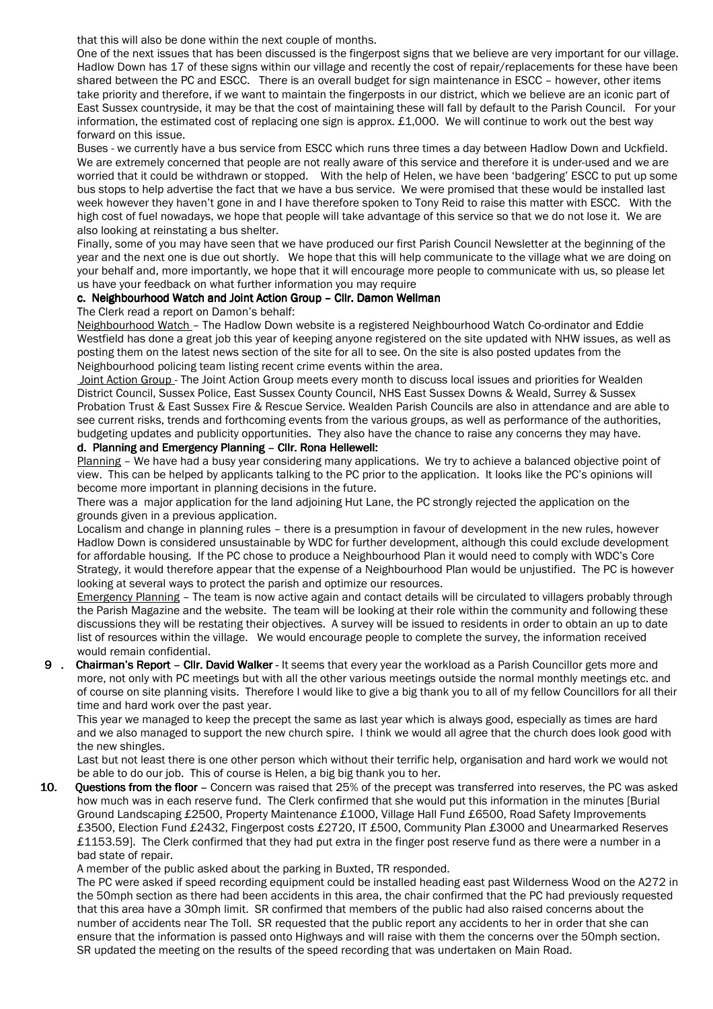that this will also be done within the next couple of months.

 One of the next issues that has been discussed is the fingerpost signs that we believe are very important for our village. Hadlow Down has 17 of these signs within our village and recently the cost of repair/replacements for these have been shared between the PC and ESCC. There is an overall budget for sign maintenance in ESCC – however, other items take priority and therefore, if we want to maintain the fingerposts in our district, which we believe are an iconic part of East Sussex countryside, it may be that the cost of maintaining these will fall by default to the Parish Council. For your information, the estimated cost of replacing one sign is approx. £1,000. We will continue to work out the best way forward on this issue.

 Buses - we currently have a bus service from ESCC which runs three times a day between Hadlow Down and Uckfield. We are extremely concerned that people are not really aware of this service and therefore it is under-used and we are worried that it could be withdrawn or stopped. With the help of Helen, we have been 'badgering' ESCC to put up some bus stops to help advertise the fact that we have a bus service. We were promised that these would be installed last week however they haven't gone in and I have therefore spoken to Tony Reid to raise this matter with ESCC. With the high cost of fuel nowadays, we hope that people will take advantage of this service so that we do not lose it. We are also looking at reinstating a bus shelter.

 Finally, some of you may have seen that we have produced our first Parish Council Newsletter at the beginning of the year and the next one is due out shortly. We hope that this will help communicate to the village what we are doing on your behalf and, more importantly, we hope that it will encourage more people to communicate with us, so please let us have your feedback on what further information you may require

### c. Neighbourhood Watch and Joint Action Group – Cllr. Damon Wellman

The Clerk read a report on Damon's behalf:

 Neighbourhood Watch – The Hadlow Down website is a registered Neighbourhood Watch Co-ordinator and Eddie Westfield has done a great job this year of keeping anyone registered on the site updated with NHW issues, as well as posting them on the latest news section of the site for all to see. On the site is also posted updates from the Neighbourhood policing team listing recent crime events within the area.

 Joint Action Group - The Joint Action Group meets every month to discuss local issues and priorities for Wealden District Council, Sussex Police, East Sussex County Council, NHS East Sussex Downs & Weald, Surrey & Sussex Probation Trust & East Sussex Fire & Rescue Service. Wealden Parish Councils are also in attendance and are able to see current risks, trends and forthcoming events from the various groups, as well as performance of the authorities, budgeting updates and publicity opportunities. They also have the chance to raise any concerns they may have.

#### d. Planning and Emergency Planning – Cllr. Rona Hellewell:

 Planning – We have had a busy year considering many applications. We try to achieve a balanced objective point of view. This can be helped by applicants talking to the PC prior to the application. It looks like the PC's opinions will become more important in planning decisions in the future.

There was a major application for the land adjoining Hut Lane, the PC strongly rejected the application on the grounds given in a previous application.

Localism and change in planning rules – there is a presumption in favour of development in the new rules, however Hadlow Down is considered unsustainable by WDC for further development, although this could exclude development for affordable housing. If the PC chose to produce a Neighbourhood Plan it would need to comply with WDC's Core Strategy, it would therefore appear that the expense of a Neighbourhood Plan would be unjustified. The PC is however looking at several ways to protect the parish and optimize our resources.

 Emergency Planning – The team is now active again and contact details will be circulated to villagers probably through the Parish Magazine and the website. The team will be looking at their role within the community and following these discussions they will be restating their objectives. A survey will be issued to residents in order to obtain an up to date list of resources within the village. We would encourage people to complete the survey, the information received would remain confidential.

9 . Chairman's Report – Cllr. David Walker - It seems that every year the workload as a Parish Councillor gets more and more, not only with PC meetings but with all the other various meetings outside the normal monthly meetings etc. and of course on site planning visits. Therefore I would like to give a big thank you to all of my fellow Councillors for all their time and hard work over the past year.

This year we managed to keep the precept the same as last year which is always good, especially as times are hard and we also managed to support the new church spire. I think we would all agree that the church does look good with the new shingles.

Last but not least there is one other person which without their terrific help, organisation and hard work we would not be able to do our job. This of course is Helen, a big big thank you to her.

10. Questions from the floor – Concern was raised that 25% of the precept was transferred into reserves, the PC was asked how much was in each reserve fund. The Clerk confirmed that she would put this information in the minutes [Burial Ground Landscaping £2500, Property Maintenance £1000, Village Hall Fund £6500, Road Safety Improvements £3500, Election Fund £2432, Fingerpost costs £2720, IT £500, Community Plan £3000 and Unearmarked Reserves £1153.59]. The Clerk confirmed that they had put extra in the finger post reserve fund as there were a number in a bad state of repair.

A member of the public asked about the parking in Buxted, TR responded.

 The PC were asked if speed recording equipment could be installed heading east past Wilderness Wood on the A272 in the 50mph section as there had been accidents in this area, the chair confirmed that the PC had previously requested that this area have a 30mph limit. SR confirmed that members of the public had also raised concerns about the number of accidents near The Toll. SR requested that the public report any accidents to her in order that she can ensure that the information is passed onto Highways and will raise with them the concerns over the 50mph section. SR updated the meeting on the results of the speed recording that was undertaken on Main Road.